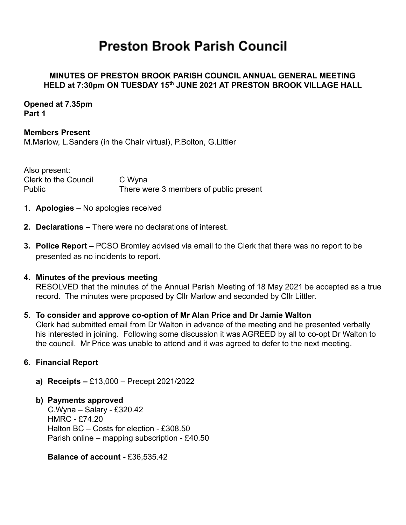# **Preston Brook Parish Council**

# **MINUTES OF PRESTON BROOK PARISH COUNCIL ANNUAL GENERAL MEETING HELD at 7:30pm ON TUESDAY 15th JUNE 2021 AT PRESTON BROOK VILLAGE HALL**

## **Opened at 7.35pm Part 1**

**Members Present** M.Marlow, L.Sanders (in the Chair virtual), P.Bolton, G.Littler

Also present: Clerk to the Council C Wyna Public There were 3 members of public present

- 1. **Apologies** No apologies received
- **2. Declarations –** There were no declarations of interest.
- **3. Police Report –** PCSO Bromley advised via email to the Clerk that there was no report to be presented as no incidents to report.

## **4. Minutes of the previous meeting**

RESOLVED that the minutes of the Annual Parish Meeting of 18 May 2021 be accepted as a true record. The minutes were proposed by Cllr Marlow and seconded by Cllr Littler.

## **5. To consider and approve co-option of Mr Alan Price and Dr Jamie Walton**

Clerk had submitted email from Dr Walton in advance of the meeting and he presented verbally his interested in joining. Following some discussion it was AGREED by all to co-opt Dr Walton to the council. Mr Price was unable to attend and it was agreed to defer to the next meeting.

## **6. Financial Report**

**a) Receipts –** £13,000 – Precept 2021/2022

## **b) Payments approved**

C.Wyna – Salary - £320.42 HMRC - £74.20 Halton BC – Costs for election - £308.50 Parish online – mapping subscription - £40.50

**Balance of account -** £36,535.42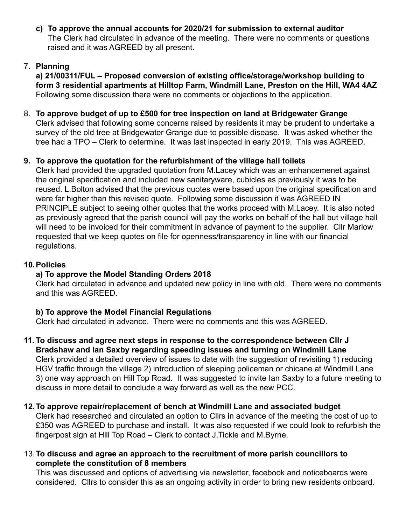**c) To approve the annual accounts for 2020/21 for submission to external auditor** The Clerk had circulated in advance of the meeting. There were no comments or questions raised and it was AGREED by all present.

# 7. **Planning**

**a) 21/00311/FUL – Proposed conversion of existing office/storage/workshop building to form 3 residential apartments at Hilltop Farm, Windmill Lane, Preston on the Hill, WA4 4AZ** Following some discussion there were no comments or objections to the application.

# 8. **To approve budget of up to £500 for tree inspection on land at Bridgewater Grange** Clerk advised that following some concerns raised by residents it may be prudent to undertake a survey of the old tree at Bridgewater Grange due to possible disease. It was asked whether the tree had a TPO – Clerk to determine. It was last inspected in early 2019. This was AGREED.

# **9. To approve the quotation for the refurbishment of the village hall toilets**

Clerk had provided the upgraded quotation from M.Lacey which was an enhancemenet against the original specification and included new sanitaryware, cubicles as previously it was to be reused. L.Bolton advised that the previous quotes were based upon the original specification and were far higher than this revised quote. Following some discussion it was AGREED IN PRINCIPLE subject to seeing other quotes that the works proceed with M.Lacey. It is also noted as previously agreed that the parish council will pay the works on behalf of the hall but village hall will need to be invoiced for their commitment in advance of payment to the supplier. Cllr Marlow requested that we keep quotes on file for openness/transparency in line with our financial regulations.

# **10.Policies**

# **a) To approve the Model Standing Orders 2018**

Clerk had circulated in advance and updated new policy in line with old. There were no comments and this was AGREED.

# **b) To approve the Model Financial Regulations**

Clerk had circulated in advance. There were no comments and this was AGREED.

- **11. To discuss and agree next steps in response to the correspondence between Cllr J Bradshaw and Ian Saxby regarding speeding issues and turning on Windmill Lane** Clerk provided a detailed overview of issues to date with the suggestion of revisiting 1) reducing HGV traffic through the village 2) introduction of sleeping policeman or chicane at Windmill Lane 3) one way approach on Hill Top Road. It was suggested to invite Ian Saxby to a future meeting to discuss in more detail to conclude a way forward as well as the new PCC.
- **12.To approve repair/replacement of bench at Windmill Lane and associated budget** Clerk had researched and circulated an option to Cllrs in advance of the meeting the cost of up to

£350 was AGREED to purchase and install. It was also requested if we could look to refurbish the fingerpost sign at Hill Top Road – Clerk to contact J.Tickle and M.Byrne.

13.**To discuss and agree an approach to the recruitment of more parish councillors to complete the constitution of 8 members**

This was discussed and options of advertising via newsletter, facebook and noticeboards were considered. Cllrs to consider this as an ongoing activity in order to bring new residents onboard.